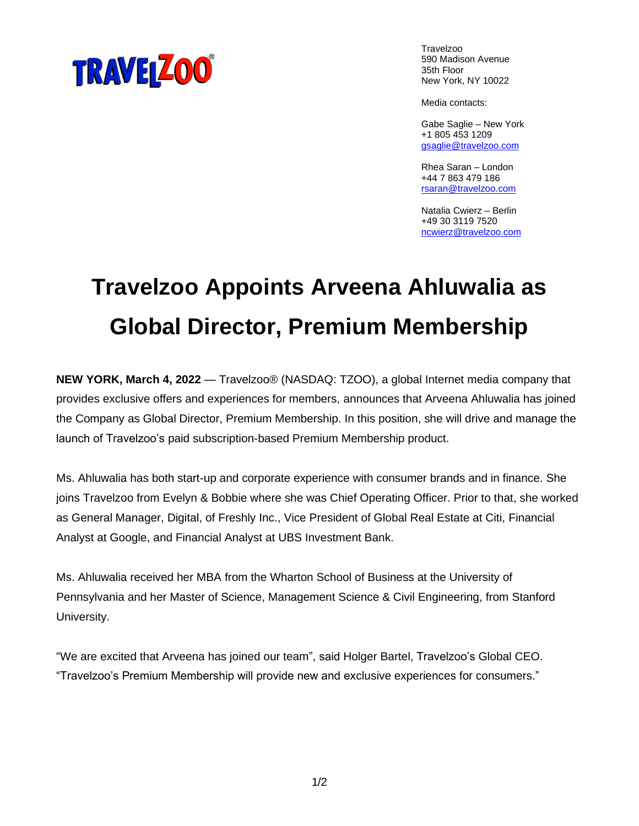

Travelzoo 590 Madison Avenue 35th Floor New York, NY 10022

Media contacts:

Gabe Saglie – New York +1 805 453 1209 [gsaglie@travelzoo.com](mailto:gsaglie@travelzoo.com)

Rhea Saran – London +44 7 863 479 186 [rsaran@travelzoo.com](mailto:rsaran@travelzoo.com)

Natalia Cwierz – Berlin +49 30 3119 7520 [ncwierz@travelzoo.com](mailto:ncwierz@travelzoo.com)

## **Travelzoo Appoints Arveena Ahluwalia as Global Director, Premium Membership**

**NEW YORK, March 4, 2022** — Travelzoo® (NASDAQ: TZOO), a global Internet media company that provides exclusive offers and experiences for members, announces that Arveena Ahluwalia has joined the Company as Global Director, Premium Membership. In this position, she will drive and manage the launch of Travelzoo's paid subscription-based Premium Membership product.

Ms. Ahluwalia has both start-up and corporate experience with consumer brands and in finance. She joins Travelzoo from Evelyn & Bobbie where she was Chief Operating Officer. Prior to that, she worked as General Manager, Digital, of Freshly Inc., Vice President of Global Real Estate at Citi, Financial Analyst at Google, and Financial Analyst at UBS Investment Bank.

Ms. Ahluwalia received her MBA from the Wharton School of Business at the University of Pennsylvania and her Master of Science, Management Science & Civil Engineering, from Stanford University.

"We are excited that Arveena has joined our team", said Holger Bartel, Travelzoo's Global CEO. "Travelzoo's Premium Membership will provide new and exclusive experiences for consumers."